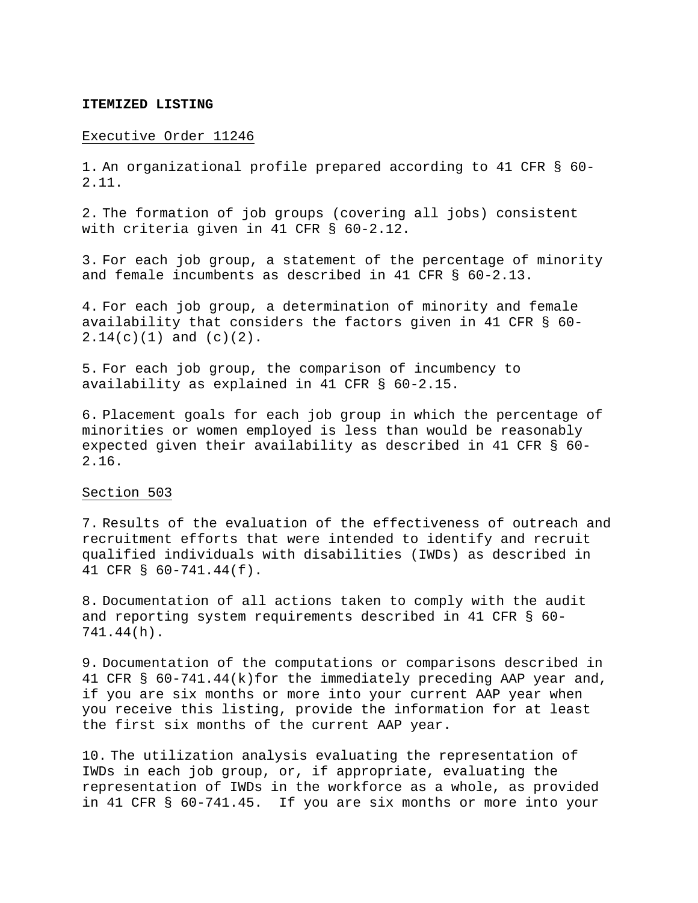#### **ITEMIZED LISTING**

#### Executive Order 11246

1. An organizational profile prepared according to 41 CFR § 60- 2.11.

2. The formation of job groups (covering all jobs) consistent with criteria given in 41 CFR § 60-2.12.

3. For each job group, a statement of the percentage of minority and female incumbents as described in 41 CFR § 60-2.13.

4. For each job group, a determination of minority and female availability that considers the factors given in 41 CFR § 60- 2.14(c)(1) and (c)(2).

5. For each job group, the comparison of incumbency to availability as explained in 41 CFR § 60-2.15.

6. Placement goals for each job group in which the percentage of minorities or women employed is less than would be reasonably expected given their availability as described in 41 CFR § 60- 2.16.

# Section 503

7. Results of the evaluation of the effectiveness of outreach and recruitment efforts that were intended to identify and recruit qualified individuals with disabilities (IWDs) as described in 41 CFR § 60-741.44(f).

8. Documentation of all actions taken to comply with the audit and reporting system requirements described in 41 CFR § 60- 741.44(h).

9. Documentation of the computations or comparisons described in 41 CFR § 60-741.44(k)for the immediately preceding AAP year and, if you are six months or more into your current AAP year when you receive this listing, provide the information for at least the first six months of the current AAP year.

10. The utilization analysis evaluating the representation of IWDs in each job group, or, if appropriate, evaluating the representation of IWDs in the workforce as a whole, as provided in 41 CFR § 60-741.45. If you are six months or more into your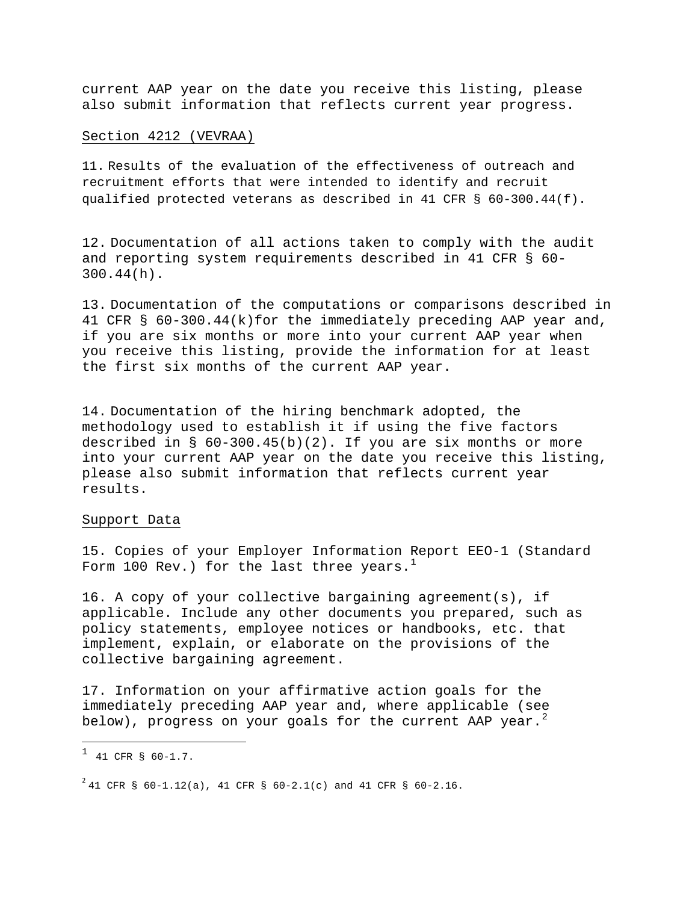current AAP year on the date you receive this listing, please also submit information that reflects current year progress.

### Section 4212 (VEVRAA)

11. Results of the evaluation of the effectiveness of outreach and recruitment efforts that were intended to identify and recruit qualified protected veterans as described in 41 CFR § 60-300.44(f).

12. Documentation of all actions taken to comply with the audit and reporting system requirements described in 41 CFR § 60- 300.44(h).

13. Documentation of the computations or comparisons described in 41 CFR § 60-300.44(k)for the immediately preceding AAP year and, if you are six months or more into your current AAP year when you receive this listing, provide the information for at least the first six months of the current AAP year.

14. Documentation of the hiring benchmark adopted, the methodology used to establish it if using the five factors described in  $\S$  60-300.45(b)(2). If you are six months or more into your current AAP year on the date you receive this listing, please also submit information that reflects current year results.

### Support Data

15. Copies of your Employer Information Report EEO-1 (Standard Form [1](#page-1-0)00 Rev.) for the last three years.<sup>1</sup>

16. A copy of your collective bargaining agreement(s), if applicable. Include any other documents you prepared, such as policy statements, employee notices or handbooks, etc. that implement, explain, or elaborate on the provisions of the collective bargaining agreement.

17. Information on your affirmative action goals for the immediately preceding AAP year and, where applicable (see below), progress on your goals for the current AAP year. $^2$  $^2$ 

l

<span id="page-1-0"></span> $1$  41 CFR § 60-1.7.

<span id="page-1-1"></span> $^{2}$  41 CFR § 60-1.12(a), 41 CFR § 60-2.1(c) and 41 CFR § 60-2.16.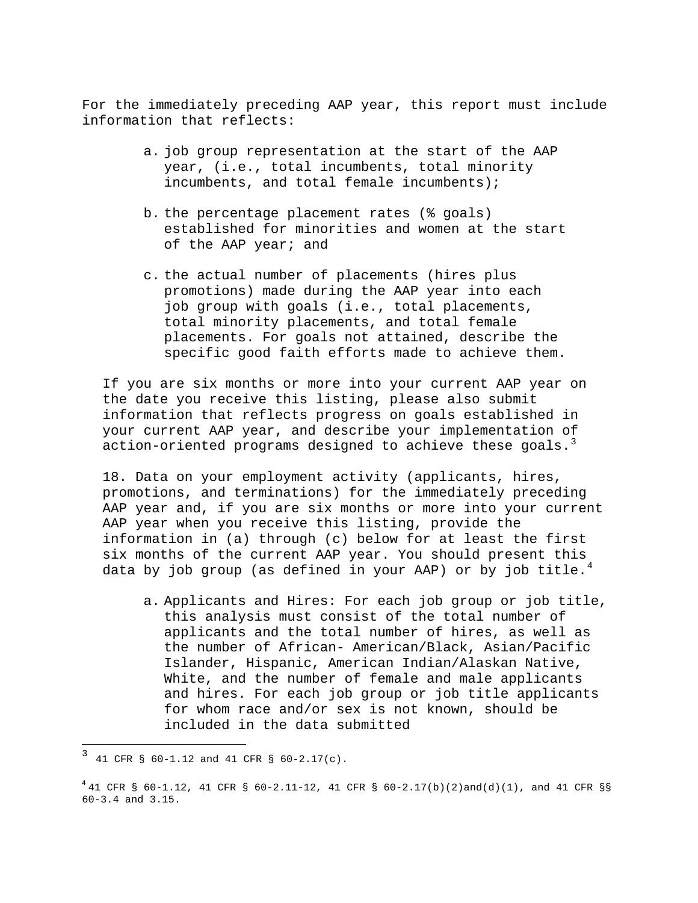For the immediately preceding AAP year, this report must include information that reflects:

- a. job group representation at the start of the AAP year, (i.e., total incumbents, total minority incumbents, and total female incumbents);
- b. the percentage placement rates (% goals) established for minorities and women at the start of the AAP year; and
- c. the actual number of placements (hires plus promotions) made during the AAP year into each job group with goals (i.e., total placements, total minority placements, and total female placements. For goals not attained, describe the specific good faith efforts made to achieve them.

If you are six months or more into your current AAP year on the date you receive this listing, please also submit information that reflects progress on goals established in your current AAP year, and describe your implementation of action-oriented programs designed to achieve these goals.<sup>[3](#page-2-0)</sup>

18. Data on your employment activity (applicants, hires, promotions, and terminations) for the immediately preceding AAP year and, if you are six months or more into your current AAP year when you receive this listing, provide the information in (a) through (c) below for at least the first six months of the current AAP year. You should present this data by job group (as defined in your AAP) or by job title.<sup>[4](#page-2-1)</sup>

a. Applicants and Hires: For each job group or job title, this analysis must consist of the total number of applicants and the total number of hires, as well as the number of African- American/Black, Asian/Pacific Islander, Hispanic, American Indian/Alaskan Native, White, and the number of female and male applicants and hires. For each job group or job title applicants for whom race and/or sex is not known, should be included in the data submitted

l

<span id="page-2-0"></span> $3$  41 CFR § 60-1.12 and 41 CFR § 60-2.17(c).

<span id="page-2-1"></span> $^{4}$  41 CFR § 60-1.12, 41 CFR § 60-2.11-12, 41 CFR § 60-2.17(b)(2)and(d)(1), and 41 CFR §§ 60-3.4 and 3.15.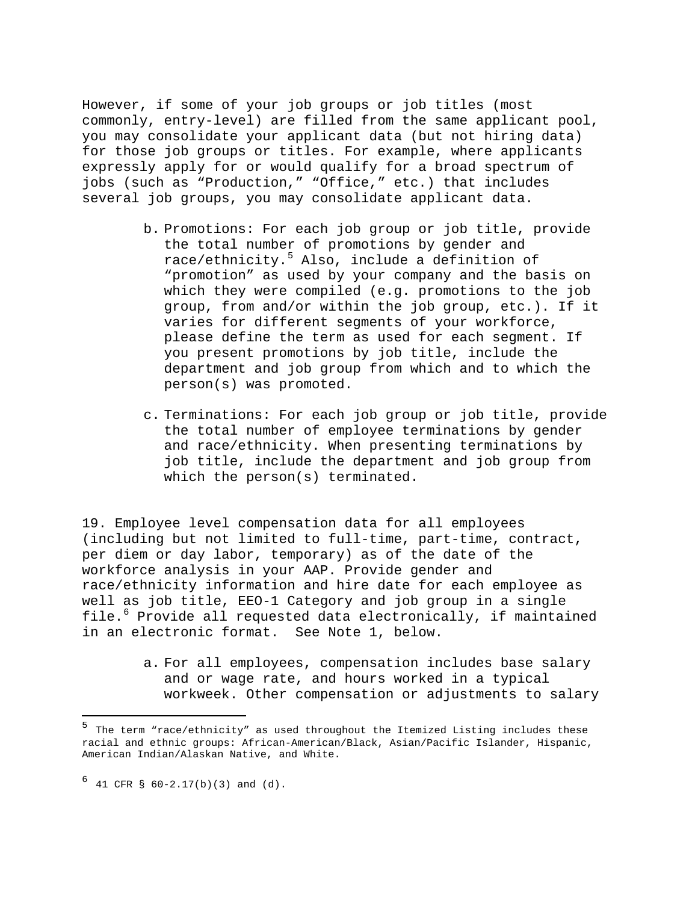However, if some of your job groups or job titles (most commonly, entry-level) are filled from the same applicant pool, you may consolidate your applicant data (but not hiring data) for those job groups or titles. For example, where applicants expressly apply for or would qualify for a broad spectrum of jobs (such as "Production," "Office," etc.) that includes several job groups, you may consolidate applicant data.

- b. Promotions: For each job group or job title, provide the total number of promotions by gender and race/ethnicity.[5](#page-3-0) Also, include a definition of "promotion" as used by your company and the basis on which they were compiled (e.g. promotions to the job group, from and/or within the job group, etc.). If it varies for different segments of your workforce, please define the term as used for each segment. If you present promotions by job title, include the department and job group from which and to which the person(s) was promoted.
- c. Terminations: For each job group or job title, provide the total number of employee terminations by gender and race/ethnicity. When presenting terminations by job title, include the department and job group from which the person(s) terminated.

19. Employee level compensation data for all employees (including but not limited to full-time, part-time, contract, per diem or day labor, temporary) as of the date of the workforce analysis in your AAP. Provide gender and race/ethnicity information and hire date for each employee as well as job title, EEO-1 Category and job group in a single file.<sup>[6](#page-3-1)</sup> Provide all requested data electronically, if maintained in an electronic format. See Note 1, below.

> a. For all employees, compensation includes base salary and or wage rate, and hours worked in a typical workweek. Other compensation or adjustments to salary

l

<span id="page-3-0"></span><sup>&</sup>lt;sup>5</sup> The term "race/ethnicity" as used throughout the Itemized Listing includes these racial and ethnic groups: African-American/Black, Asian/Pacific Islander, Hispanic, American Indian/Alaskan Native, and White.

<span id="page-3-1"></span> $6$  41 CFR § 60-2.17(b)(3) and (d).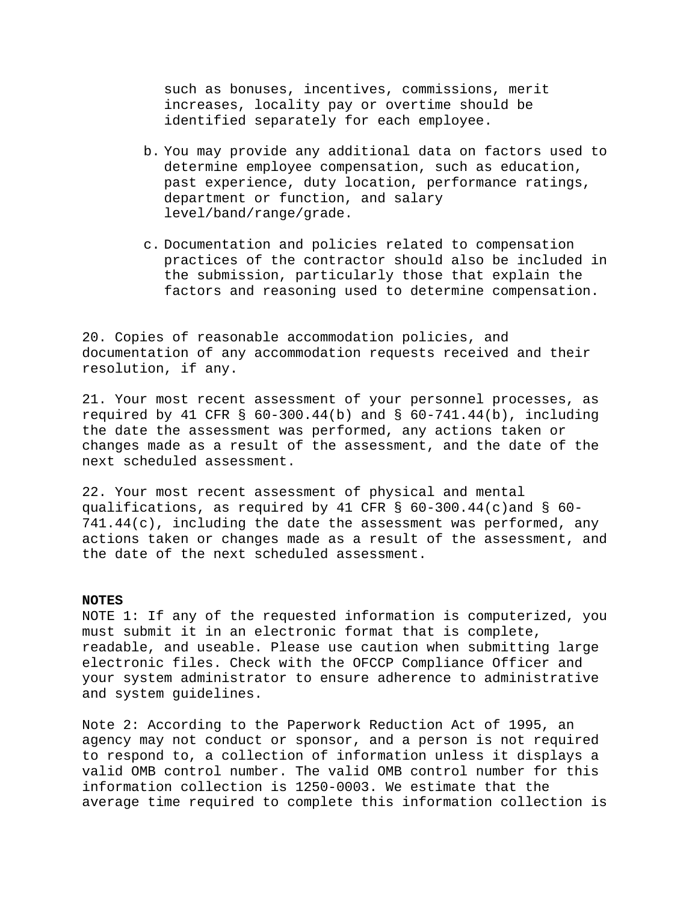such as bonuses, incentives, commissions, merit increases, locality pay or overtime should be identified separately for each employee.

- b. You may provide any additional data on factors used to determine employee compensation, such as education, past experience, duty location, performance ratings, department or function, and salary level/band/range/grade.
- c. Documentation and policies related to compensation practices of the contractor should also be included in the submission, particularly those that explain the factors and reasoning used to determine compensation.

20. Copies of reasonable accommodation policies, and documentation of any accommodation requests received and their resolution, if any.

21. Your most recent assessment of your personnel processes, as required by 41 CFR § 60-300.44(b) and § 60-741.44(b), including the date the assessment was performed, any actions taken or changes made as a result of the assessment, and the date of the next scheduled assessment.

22. Your most recent assessment of physical and mental qualifications, as required by 41 CFR § 60-300.44(c)and § 60- 741.44(c), including the date the assessment was performed, any actions taken or changes made as a result of the assessment, and the date of the next scheduled assessment.

## **NOTES**

NOTE 1: If any of the requested information is computerized, you must submit it in an electronic format that is complete, readable, and useable. Please use caution when submitting large electronic files. Check with the OFCCP Compliance Officer and your system administrator to ensure adherence to administrative and system guidelines.

Note 2: According to the Paperwork Reduction Act of 1995, an agency may not conduct or sponsor, and a person is not required to respond to, a collection of information unless it displays a valid OMB control number. The valid OMB control number for this information collection is 1250-0003. We estimate that the average time required to complete this information collection is